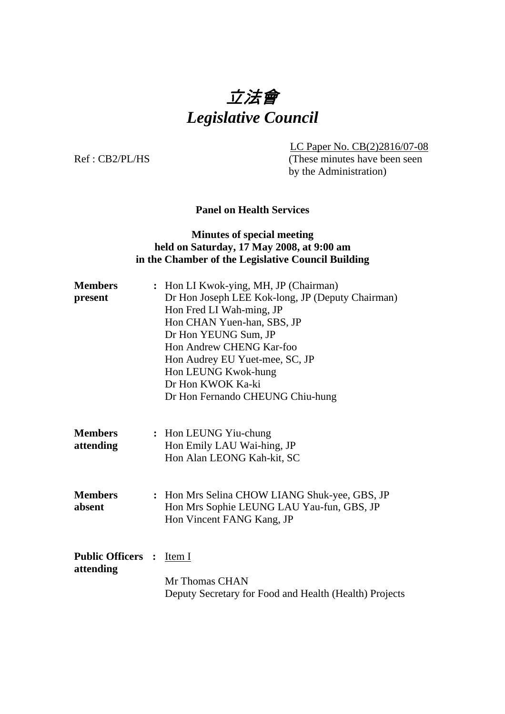# 立法會 *Legislative Council*

LC Paper No. CB(2)2816/07-08

Ref : CB2/PL/HS (These minutes have been seen by the Administration)

# **Panel on Health Services**

# **Minutes of special meeting held on Saturday, 17 May 2008, at 9:00 am in the Chamber of the Legislative Council Building**

| <b>Members</b><br>present             | : Hon LI Kwok-ying, MH, JP (Chairman)<br>Dr Hon Joseph LEE Kok-long, JP (Deputy Chairman)<br>Hon Fred LI Wah-ming, JP<br>Hon CHAN Yuen-han, SBS, JP<br>Dr Hon YEUNG Sum, JP<br>Hon Andrew CHENG Kar-foo<br>Hon Audrey EU Yuet-mee, SC, JP<br>Hon LEUNG Kwok-hung<br>Dr Hon KWOK Ka-ki<br>Dr Hon Fernando CHEUNG Chiu-hung |
|---------------------------------------|---------------------------------------------------------------------------------------------------------------------------------------------------------------------------------------------------------------------------------------------------------------------------------------------------------------------------|
| <b>Members</b><br>attending           | : Hon LEUNG Yiu-chung<br>Hon Emily LAU Wai-hing, JP<br>Hon Alan LEONG Kah-kit, SC                                                                                                                                                                                                                                         |
| <b>Members</b><br>absent              | : Hon Mrs Selina CHOW LIANG Shuk-yee, GBS, JP<br>Hon Mrs Sophie LEUNG LAU Yau-fun, GBS, JP<br>Hon Vincent FANG Kang, JP                                                                                                                                                                                                   |
| <b>Public Officers :</b><br>attending | Item I<br>Mr Thomas CHAN<br>Deputy Secretary for Food and Health (Health) Projects                                                                                                                                                                                                                                        |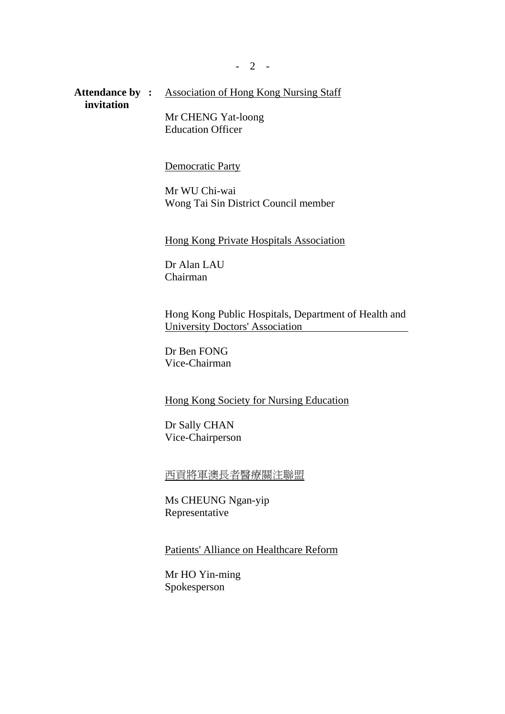Attendance by : Association of Hong Kong Nursing Staff  **invitation**

> Mr CHENG Yat-loong Education Officer

#### Democratic Party

Mr WU Chi-wai Wong Tai Sin District Council member

Hong Kong Private Hospitals Association

Dr Alan LAU Chairman

Hong Kong Public Hospitals, Department of Health and University Doctors' Association

Dr Ben FONG Vice-Chairman

Hong Kong Society for Nursing Education

Dr Sally CHAN Vice-Chairperson

西貢將軍澳長者醫療關注聯盟

Ms CHEUNG Ngan-yip Representative

Patients' Alliance on Healthcare Reform

Mr HO Yin-ming Spokesperson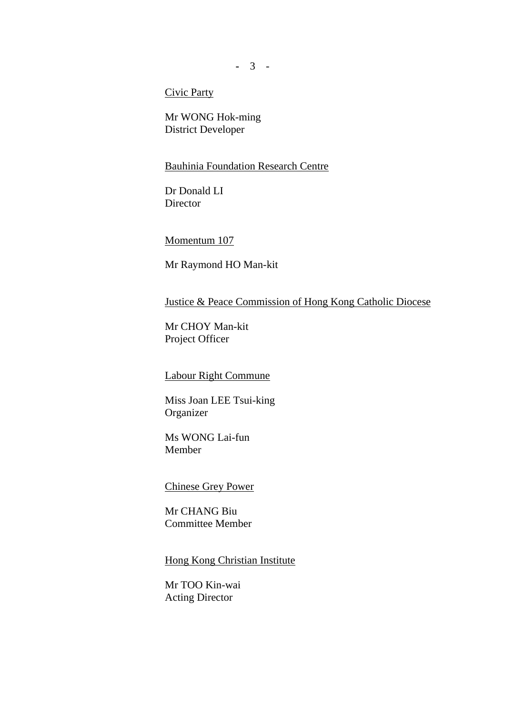**-** 3 -

Civic Party

Mr WONG Hok-ming District Developer

# Bauhinia Foundation Research Centre

Dr Donald LI **Director** 

Momentum 107

Mr Raymond HO Man-kit

Justice & Peace Commission of Hong Kong Catholic Diocese

Mr CHOY Man-kit Project Officer

#### Labour Right Commune

Miss Joan LEE Tsui-king Organizer

Ms WONG Lai-fun Member

Chinese Grey Power

Mr CHANG Biu Committee Member

### Hong Kong Christian Institute

Mr TOO Kin-wai Acting Director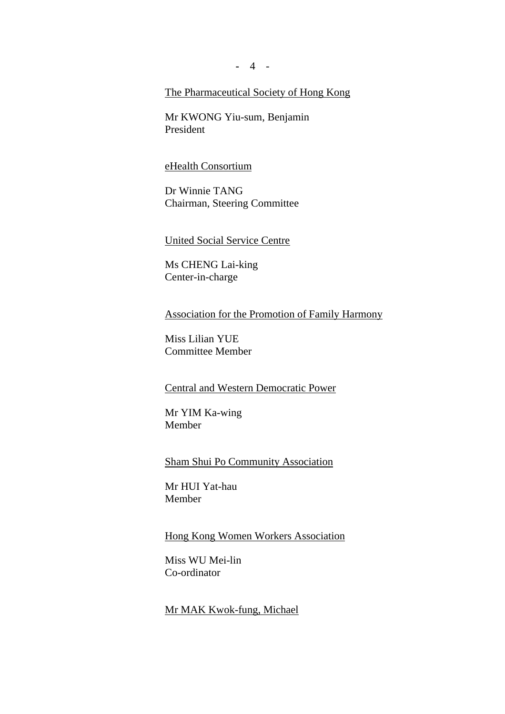**-** 4 -

# The Pharmaceutical Society of Hong Kong

Mr KWONG Yiu-sum, Benjamin President

#### eHealth Consortium

Dr Winnie TANG Chairman, Steering Committee

### United Social Service Centre

Ms CHENG Lai-king Center-in-charge

Association for the Promotion of Family Harmony

Miss Lilian YUE Committee Member

#### Central and Western Democratic Power

Mr YIM Ka-wing Member

## Sham Shui Po Community Association

Mr HUI Yat-hau Member

### Hong Kong Women Workers Association

Miss WU Mei-lin Co-ordinator

# Mr MAK Kwok-fung, Michael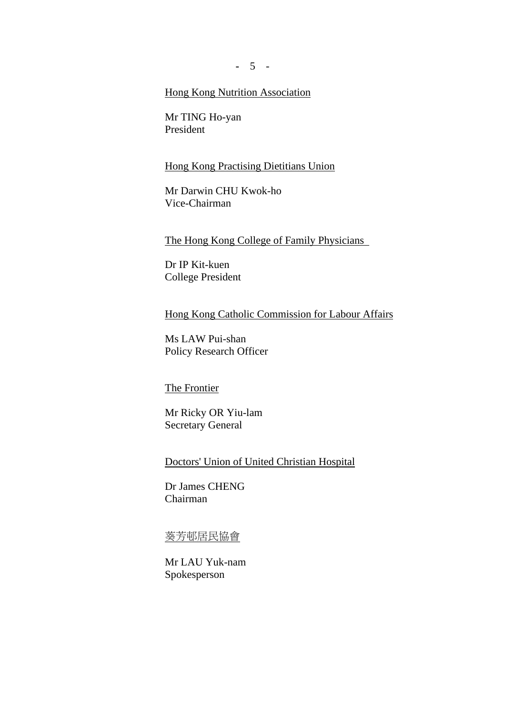**-** 5 -

# Hong Kong Nutrition Association

Mr TING Ho-yan President

#### Hong Kong Practising Dietitians Union

Mr Darwin CHU Kwok-ho Vice-Chairman

The Hong Kong College of Family Physicians

Dr IP Kit-kuen College President

Hong Kong Catholic Commission for Labour Affairs

Ms LAW Pui-shan Policy Research Officer

The Frontier

Mr Ricky OR Yiu-lam Secretary General

Doctors' Union of United Christian Hospital

Dr James CHENG Chairman

# 葵芳邨居民協會

Mr LAU Yuk-nam Spokesperson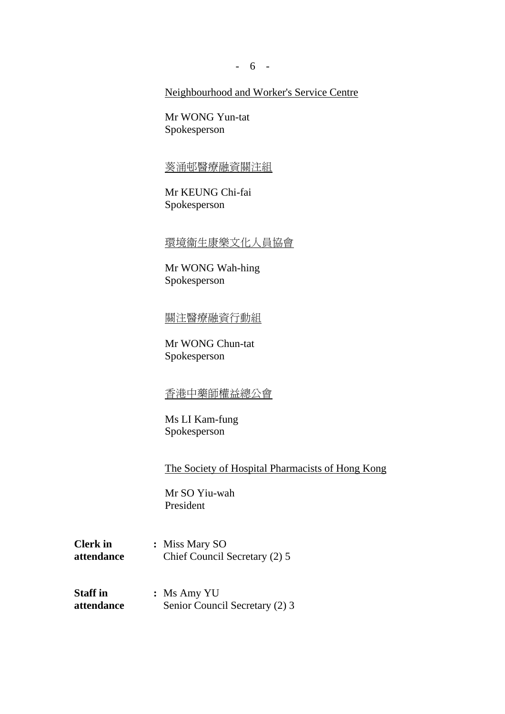- 6 -

# Neighbourhood and Worker's Service Centre

Mr WONG Yun-tat Spokesperson

#### 葵涌邨醫療融資關注組

Mr KEUNG Chi-fai Spokesperson

# 環境衞生康樂文化人員協會

Mr WONG Wah-hing Spokesperson

# 關注醫療融資行動組

Mr WONG Chun-tat Spokesperson

# 香港中藥師權益總公會

Ms LI Kam-fung Spokesperson

The Society of Hospital Pharmacists of Hong Kong

Mr SO Yiu-wah President

- **Clerk in : Miss Mary SO attendance** Chief Council Secretary (2) 5
- **Staff in :** Ms Amy YU **attendance** Senior Council Secretary (2) 3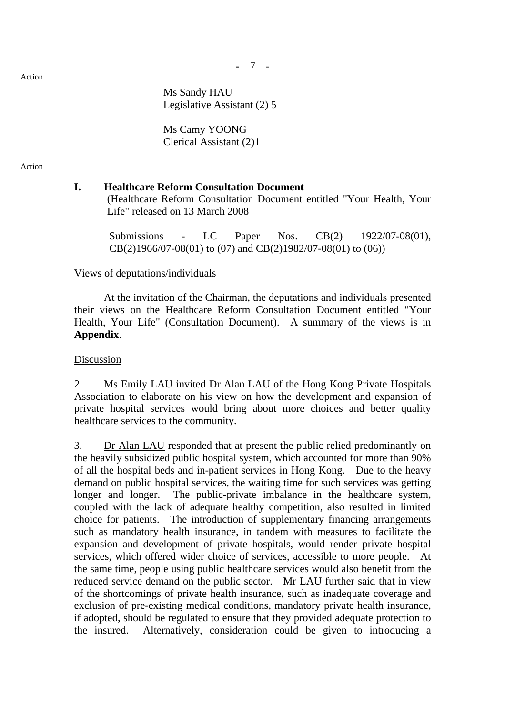**-** 7 -

 Ms Sandy HAU Legislative Assistant (2) 5

 Ms Camy YOONG Clerical Assistant (2)1

#### Action

### **I. Healthcare Reform Consultation Document**

 (Healthcare Reform Consultation Document entitled "Your Health, Your Life" released on 13 March 2008

 Submissions - LC Paper Nos. CB(2) 1922/07-08(01), CB(2)1966/07-08(01) to (07) and CB(2)1982/07-08(01) to (06))

#### Views of deputations/individuals

 At the invitation of the Chairman, the deputations and individuals presented their views on the Healthcare Reform Consultation Document entitled "Your Health, Your Life" (Consultation Document). A summary of the views is in **Appendix**.

#### Discussion

2. Ms Emily LAU invited Dr Alan LAU of the Hong Kong Private Hospitals Association to elaborate on his view on how the development and expansion of private hospital services would bring about more choices and better quality healthcare services to the community.

3. Dr Alan LAU responded that at present the public relied predominantly on the heavily subsidized public hospital system, which accounted for more than 90% of all the hospital beds and in-patient services in Hong Kong. Due to the heavy demand on public hospital services, the waiting time for such services was getting longer and longer. The public-private imbalance in the healthcare system, coupled with the lack of adequate healthy competition, also resulted in limited choice for patients. The introduction of supplementary financing arrangements such as mandatory health insurance, in tandem with measures to facilitate the expansion and development of private hospitals, would render private hospital services, which offered wider choice of services, accessible to more people. At the same time, people using public healthcare services would also benefit from the reduced service demand on the public sector. Mr LAU further said that in view of the shortcomings of private health insurance, such as inadequate coverage and exclusion of pre-existing medical conditions, mandatory private health insurance, if adopted, should be regulated to ensure that they provided adequate protection to the insured. Alternatively, consideration could be given to introducing a

Action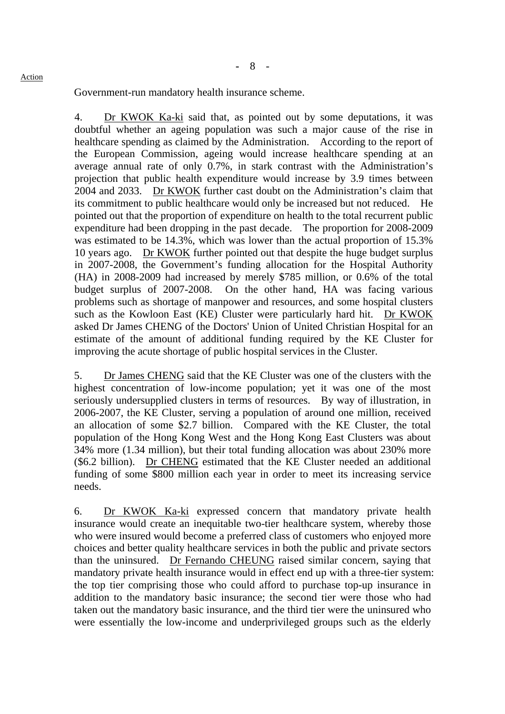**-** 8 -

Government-run mandatory health insurance scheme.

4. Dr KWOK Ka-ki said that, as pointed out by some deputations, it was doubtful whether an ageing population was such a major cause of the rise in healthcare spending as claimed by the Administration. According to the report of the European Commission, ageing would increase healthcare spending at an average annual rate of only 0.7%, in stark contrast with the Administration's projection that public health expenditure would increase by 3.9 times between 2004 and 2033. Dr KWOK further cast doubt on the Administration's claim that its commitment to public healthcare would only be increased but not reduced. He pointed out that the proportion of expenditure on health to the total recurrent public expenditure had been dropping in the past decade. The proportion for 2008-2009 was estimated to be 14.3%, which was lower than the actual proportion of 15.3% 10 years ago. Dr KWOK further pointed out that despite the huge budget surplus in 2007-2008, the Government's funding allocation for the Hospital Authority (HA) in 2008-2009 had increased by merely \$785 million, or 0.6% of the total budget surplus of 2007-2008. On the other hand, HA was facing various problems such as shortage of manpower and resources, and some hospital clusters such as the Kowloon East (KE) Cluster were particularly hard hit. Dr KWOK asked Dr James CHENG of the Doctors' Union of United Christian Hospital for an estimate of the amount of additional funding required by the KE Cluster for improving the acute shortage of public hospital services in the Cluster.

5. Dr James CHENG said that the KE Cluster was one of the clusters with the highest concentration of low-income population; yet it was one of the most seriously undersupplied clusters in terms of resources. By way of illustration, in 2006-2007, the KE Cluster, serving a population of around one million, received an allocation of some \$2.7 billion. Compared with the KE Cluster, the total population of the Hong Kong West and the Hong Kong East Clusters was about 34% more (1.34 million), but their total funding allocation was about 230% more (\$6.2 billion). Dr CHENG estimated that the KE Cluster needed an additional funding of some \$800 million each year in order to meet its increasing service needs.

6. Dr KWOK Ka-ki expressed concern that mandatory private health insurance would create an inequitable two-tier healthcare system, whereby those who were insured would become a preferred class of customers who enjoyed more choices and better quality healthcare services in both the public and private sectors than the uninsured. Dr Fernando CHEUNG raised similar concern, saying that mandatory private health insurance would in effect end up with a three-tier system: the top tier comprising those who could afford to purchase top-up insurance in addition to the mandatory basic insurance; the second tier were those who had taken out the mandatory basic insurance, and the third tier were the uninsured who were essentially the low-income and underprivileged groups such as the elderly

Action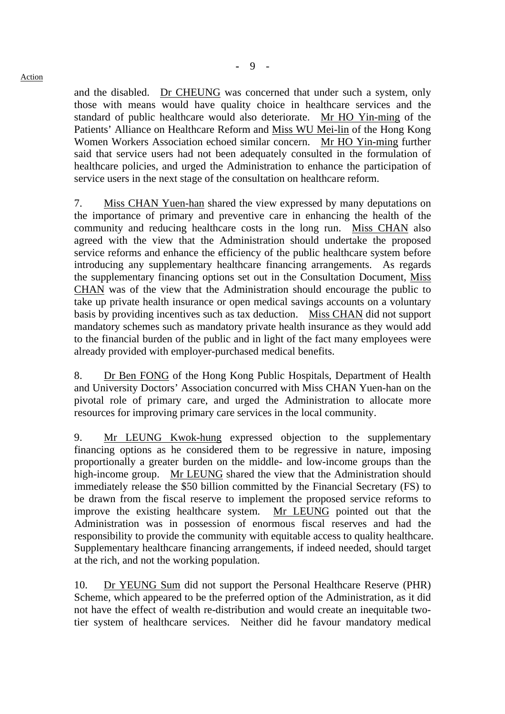and the disabled. Dr CHEUNG was concerned that under such a system, only those with means would have quality choice in healthcare services and the standard of public healthcare would also deteriorate. Mr HO Yin-ming of the Patients' Alliance on Healthcare Reform and Miss WU Mei-lin of the Hong Kong Women Workers Association echoed similar concern. Mr HO Yin-ming further said that service users had not been adequately consulted in the formulation of healthcare policies, and urged the Administration to enhance the participation of service users in the next stage of the consultation on healthcare reform.

7. Miss CHAN Yuen-han shared the view expressed by many deputations on the importance of primary and preventive care in enhancing the health of the community and reducing healthcare costs in the long run. Miss CHAN also agreed with the view that the Administration should undertake the proposed service reforms and enhance the efficiency of the public healthcare system before introducing any supplementary healthcare financing arrangements. As regards the supplementary financing options set out in the Consultation Document, Miss CHAN was of the view that the Administration should encourage the public to take up private health insurance or open medical savings accounts on a voluntary basis by providing incentives such as tax deduction. Miss CHAN did not support mandatory schemes such as mandatory private health insurance as they would add to the financial burden of the public and in light of the fact many employees were already provided with employer-purchased medical benefits.

8. Dr Ben FONG of the Hong Kong Public Hospitals, Department of Health and University Doctors' Association concurred with Miss CHAN Yuen-han on the pivotal role of primary care, and urged the Administration to allocate more resources for improving primary care services in the local community.

9. Mr LEUNG Kwok-hung expressed objection to the supplementary financing options as he considered them to be regressive in nature, imposing proportionally a greater burden on the middle- and low-income groups than the high-income group. Mr LEUNG shared the view that the Administration should immediately release the \$50 billion committed by the Financial Secretary (FS) to be drawn from the fiscal reserve to implement the proposed service reforms to improve the existing healthcare system. Mr LEUNG pointed out that the Administration was in possession of enormous fiscal reserves and had the responsibility to provide the community with equitable access to quality healthcare. Supplementary healthcare financing arrangements, if indeed needed, should target at the rich, and not the working population.

10. Dr YEUNG Sum did not support the Personal Healthcare Reserve (PHR) Scheme, which appeared to be the preferred option of the Administration, as it did not have the effect of wealth re-distribution and would create an inequitable twotier system of healthcare services. Neither did he favour mandatory medical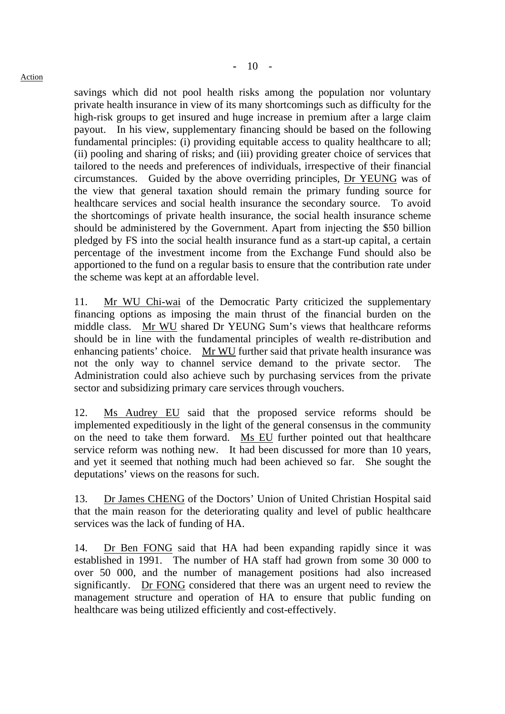#### Action

savings which did not pool health risks among the population nor voluntary private health insurance in view of its many shortcomings such as difficulty for the high-risk groups to get insured and huge increase in premium after a large claim payout. In his view, supplementary financing should be based on the following fundamental principles: (i) providing equitable access to quality healthcare to all; (ii) pooling and sharing of risks; and (iii) providing greater choice of services that tailored to the needs and preferences of individuals, irrespective of their financial circumstances. Guided by the above overriding principles, Dr YEUNG was of the view that general taxation should remain the primary funding source for healthcare services and social health insurance the secondary source. To avoid the shortcomings of private health insurance, the social health insurance scheme should be administered by the Government. Apart from injecting the \$50 billion pledged by FS into the social health insurance fund as a start-up capital, a certain percentage of the investment income from the Exchange Fund should also be apportioned to the fund on a regular basis to ensure that the contribution rate under the scheme was kept at an affordable level.

11. Mr WU Chi-wai of the Democratic Party criticized the supplementary financing options as imposing the main thrust of the financial burden on the middle class. Mr WU shared Dr YEUNG Sum's views that healthcare reforms should be in line with the fundamental principles of wealth re-distribution and enhancing patients' choice. Mr WU further said that private health insurance was not the only way to channel service demand to the private sector. The Administration could also achieve such by purchasing services from the private sector and subsidizing primary care services through vouchers.

12. Ms Audrey EU said that the proposed service reforms should be implemented expeditiously in the light of the general consensus in the community on the need to take them forward. Ms EU further pointed out that healthcare service reform was nothing new. It had been discussed for more than 10 years, and yet it seemed that nothing much had been achieved so far. She sought the deputations' views on the reasons for such.

13. Dr James CHENG of the Doctors' Union of United Christian Hospital said that the main reason for the deteriorating quality and level of public healthcare services was the lack of funding of HA.

14. Dr Ben FONG said that HA had been expanding rapidly since it was established in 1991. The number of HA staff had grown from some 30 000 to over 50 000, and the number of management positions had also increased significantly. Dr FONG considered that there was an urgent need to review the management structure and operation of HA to ensure that public funding on healthcare was being utilized efficiently and cost-effectively.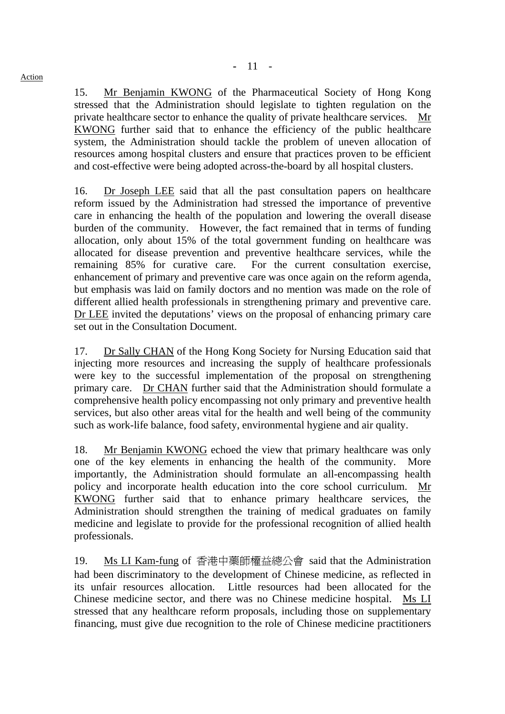15. Mr Benjamin KWONG of the Pharmaceutical Society of Hong Kong stressed that the Administration should legislate to tighten regulation on the private healthcare sector to enhance the quality of private healthcare services. Mr KWONG further said that to enhance the efficiency of the public healthcare system, the Administration should tackle the problem of uneven allocation of resources among hospital clusters and ensure that practices proven to be efficient and cost-effective were being adopted across-the-board by all hospital clusters.

16. Dr Joseph LEE said that all the past consultation papers on healthcare reform issued by the Administration had stressed the importance of preventive care in enhancing the health of the population and lowering the overall disease burden of the community. However, the fact remained that in terms of funding allocation, only about 15% of the total government funding on healthcare was allocated for disease prevention and preventive healthcare services, while the remaining 85% for curative care. For the current consultation exercise, enhancement of primary and preventive care was once again on the reform agenda, but emphasis was laid on family doctors and no mention was made on the role of different allied health professionals in strengthening primary and preventive care. Dr LEE invited the deputations' views on the proposal of enhancing primary care set out in the Consultation Document.

17. Dr Sally CHAN of the Hong Kong Society for Nursing Education said that injecting more resources and increasing the supply of healthcare professionals were key to the successful implementation of the proposal on strengthening primary care. Dr CHAN further said that the Administration should formulate a comprehensive health policy encompassing not only primary and preventive health services, but also other areas vital for the health and well being of the community such as work-life balance, food safety, environmental hygiene and air quality.

18. Mr Benjamin KWONG echoed the view that primary healthcare was only one of the key elements in enhancing the health of the community. More importantly, the Administration should formulate an all-encompassing health policy and incorporate health education into the core school curriculum. Mr KWONG further said that to enhance primary healthcare services, the Administration should strengthen the training of medical graduates on family medicine and legislate to provide for the professional recognition of allied health professionals.

19. Ms LI Kam-fung of 香港中藥師權益總公會 said that the Administration had been discriminatory to the development of Chinese medicine, as reflected in its unfair resources allocation. Little resources had been allocated for the Chinese medicine sector, and there was no Chinese medicine hospital. Ms LI stressed that any healthcare reform proposals, including those on supplementary financing, must give due recognition to the role of Chinese medicine practitioners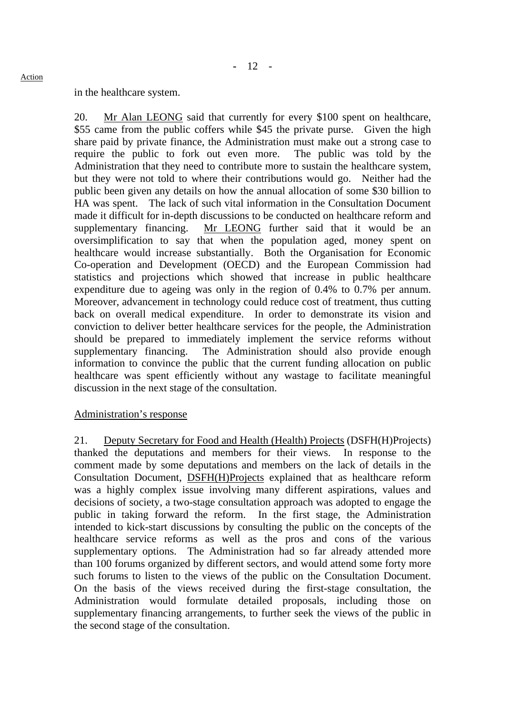#### in the healthcare system.

20. Mr Alan LEONG said that currently for every \$100 spent on healthcare, \$55 came from the public coffers while \$45 the private purse. Given the high share paid by private finance, the Administration must make out a strong case to require the public to fork out even more. The public was told by the Administration that they need to contribute more to sustain the healthcare system, but they were not told to where their contributions would go. Neither had the public been given any details on how the annual allocation of some \$30 billion to HA was spent. The lack of such vital information in the Consultation Document made it difficult for in-depth discussions to be conducted on healthcare reform and supplementary financing. Mr LEONG further said that it would be an oversimplification to say that when the population aged, money spent on healthcare would increase substantially. Both the Organisation for Economic Co-operation and Development (OECD) and the European Commission had statistics and projections which showed that increase in public healthcare expenditure due to ageing was only in the region of 0.4% to 0.7% per annum. Moreover, advancement in technology could reduce cost of treatment, thus cutting back on overall medical expenditure. In order to demonstrate its vision and conviction to deliver better healthcare services for the people, the Administration should be prepared to immediately implement the service reforms without supplementary financing. The Administration should also provide enough information to convince the public that the current funding allocation on public healthcare was spent efficiently without any wastage to facilitate meaningful discussion in the next stage of the consultation.

## Administration's response

21. Deputy Secretary for Food and Health (Health) Projects (DSFH(H)Projects) thanked the deputations and members for their views. In response to the comment made by some deputations and members on the lack of details in the Consultation Document, DSFH(H)Projects explained that as healthcare reform was a highly complex issue involving many different aspirations, values and decisions of society, a two-stage consultation approach was adopted to engage the public in taking forward the reform. In the first stage, the Administration intended to kick-start discussions by consulting the public on the concepts of the healthcare service reforms as well as the pros and cons of the various supplementary options. The Administration had so far already attended more than 100 forums organized by different sectors, and would attend some forty more such forums to listen to the views of the public on the Consultation Document. On the basis of the views received during the first-stage consultation, the Administration would formulate detailed proposals, including those on supplementary financing arrangements, to further seek the views of the public in the second stage of the consultation.

Action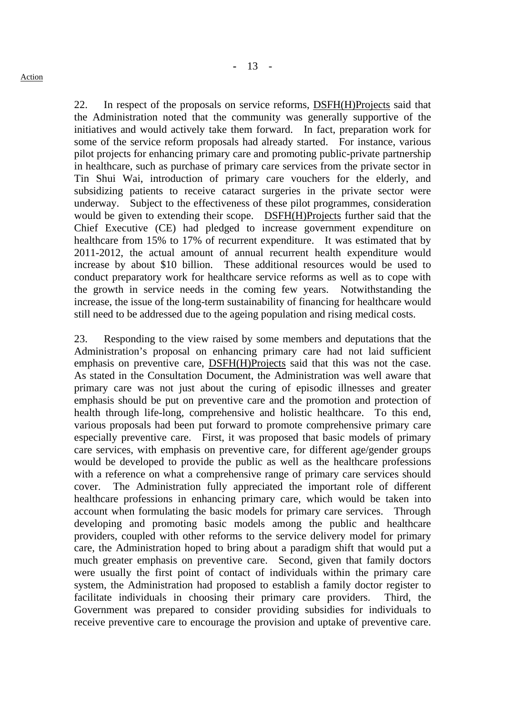22. In respect of the proposals on service reforms, DSFH(H)Projects said that the Administration noted that the community was generally supportive of the initiatives and would actively take them forward. In fact, preparation work for some of the service reform proposals had already started. For instance, various pilot projects for enhancing primary care and promoting public-private partnership in healthcare, such as purchase of primary care services from the private sector in Tin Shui Wai, introduction of primary care vouchers for the elderly, and subsidizing patients to receive cataract surgeries in the private sector were underway. Subject to the effectiveness of these pilot programmes, consideration would be given to extending their scope. DSFH(H)Projects further said that the Chief Executive (CE) had pledged to increase government expenditure on healthcare from 15% to 17% of recurrent expenditure. It was estimated that by 2011-2012, the actual amount of annual recurrent health expenditure would increase by about \$10 billion. These additional resources would be used to conduct preparatory work for healthcare service reforms as well as to cope with the growth in service needs in the coming few years. Notwithstanding the increase, the issue of the long-term sustainability of financing for healthcare would still need to be addressed due to the ageing population and rising medical costs.

23. Responding to the view raised by some members and deputations that the Administration's proposal on enhancing primary care had not laid sufficient emphasis on preventive care, DSFH(H)Projects said that this was not the case. As stated in the Consultation Document, the Administration was well aware that primary care was not just about the curing of episodic illnesses and greater emphasis should be put on preventive care and the promotion and protection of health through life-long, comprehensive and holistic healthcare. To this end, various proposals had been put forward to promote comprehensive primary care especially preventive care. First, it was proposed that basic models of primary care services, with emphasis on preventive care, for different age/gender groups would be developed to provide the public as well as the healthcare professions with a reference on what a comprehensive range of primary care services should cover. The Administration fully appreciated the important role of different healthcare professions in enhancing primary care, which would be taken into account when formulating the basic models for primary care services. Through developing and promoting basic models among the public and healthcare providers, coupled with other reforms to the service delivery model for primary care, the Administration hoped to bring about a paradigm shift that would put a much greater emphasis on preventive care. Second, given that family doctors were usually the first point of contact of individuals within the primary care system, the Administration had proposed to establish a family doctor register to facilitate individuals in choosing their primary care providers. Third, the Government was prepared to consider providing subsidies for individuals to receive preventive care to encourage the provision and uptake of preventive care.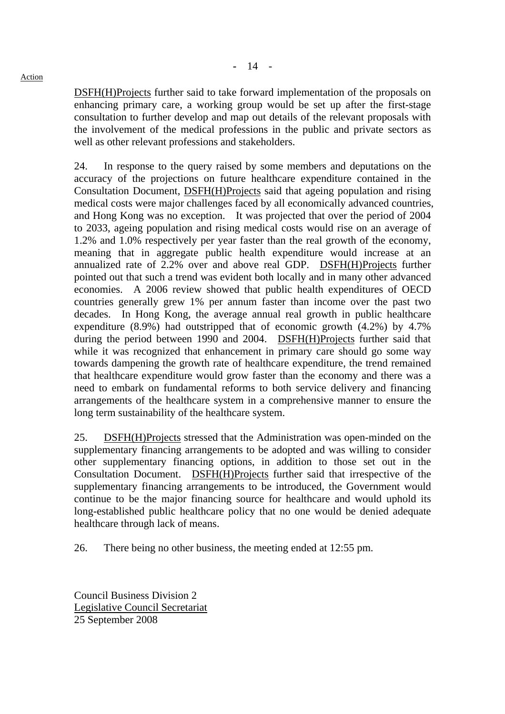Action

DSFH(H)Projects further said to take forward implementation of the proposals on enhancing primary care, a working group would be set up after the first-stage consultation to further develop and map out details of the relevant proposals with the involvement of the medical professions in the public and private sectors as well as other relevant professions and stakeholders.

24. In response to the query raised by some members and deputations on the accuracy of the projections on future healthcare expenditure contained in the Consultation Document, DSFH(H)Projects said that ageing population and rising medical costs were major challenges faced by all economically advanced countries, and Hong Kong was no exception. It was projected that over the period of 2004 to 2033, ageing population and rising medical costs would rise on an average of 1.2% and 1.0% respectively per year faster than the real growth of the economy, meaning that in aggregate public health expenditure would increase at an annualized rate of 2.2% over and above real GDP. DSFH(H)Projects further pointed out that such a trend was evident both locally and in many other advanced economies. A 2006 review showed that public health expenditures of OECD countries generally grew 1% per annum faster than income over the past two decades. In Hong Kong, the average annual real growth in public healthcare expenditure (8.9%) had outstripped that of economic growth (4.2%) by 4.7% during the period between 1990 and 2004. DSFH(H)Projects further said that while it was recognized that enhancement in primary care should go some way towards dampening the growth rate of healthcare expenditure, the trend remained that healthcare expenditure would grow faster than the economy and there was a need to embark on fundamental reforms to both service delivery and financing arrangements of the healthcare system in a comprehensive manner to ensure the long term sustainability of the healthcare system.

25. DSFH(H)Projects stressed that the Administration was open-minded on the supplementary financing arrangements to be adopted and was willing to consider other supplementary financing options, in addition to those set out in the Consultation Document. DSFH(H)Projects further said that irrespective of the supplementary financing arrangements to be introduced, the Government would continue to be the major financing source for healthcare and would uphold its long-established public healthcare policy that no one would be denied adequate healthcare through lack of means.

26. There being no other business, the meeting ended at 12:55 pm.

Council Business Division 2 Legislative Council Secretariat 25 September 2008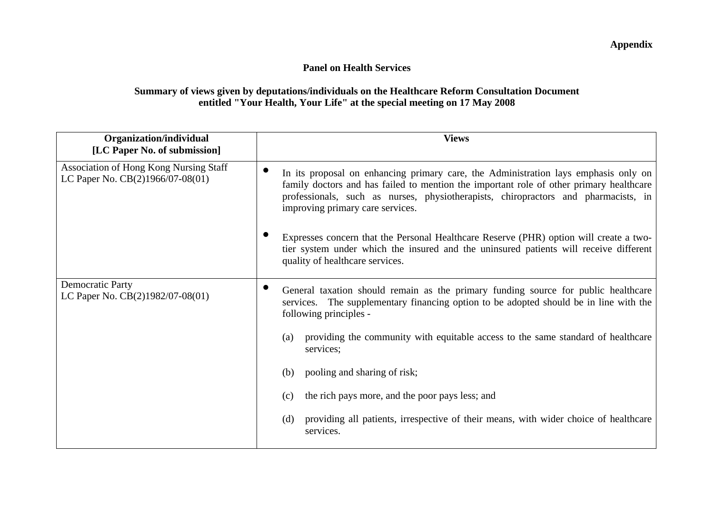# **Panel on Health Services**

# **Summary of views given by deputations/individuals on the Healthcare Reform Consultation Document entitled "Your Health, Your Life" at the special meeting on 17 May 2008**

| Organization/individual<br>[LC Paper No. of submission]                           | <b>Views</b>                                                                                                                                                                                                                                                                                             |
|-----------------------------------------------------------------------------------|----------------------------------------------------------------------------------------------------------------------------------------------------------------------------------------------------------------------------------------------------------------------------------------------------------|
| <b>Association of Hong Kong Nursing Staff</b><br>LC Paper No. CB(2)1966/07-08(01) | In its proposal on enhancing primary care, the Administration lays emphasis only on<br>family doctors and has failed to mention the important role of other primary healthcare<br>professionals, such as nurses, physiotherapists, chiropractors and pharmacists, in<br>improving primary care services. |
|                                                                                   | Expresses concern that the Personal Healthcare Reserve (PHR) option will create a two-<br>tier system under which the insured and the uninsured patients will receive different<br>quality of healthcare services.                                                                                       |
| <b>Democratic Party</b><br>LC Paper No. CB(2)1982/07-08(01)                       | General taxation should remain as the primary funding source for public healthcare<br>services. The supplementary financing option to be adopted should be in line with the<br>following principles -                                                                                                    |
|                                                                                   | providing the community with equitable access to the same standard of healthcare<br>(a)<br>services;                                                                                                                                                                                                     |
|                                                                                   | pooling and sharing of risk;<br>(b)                                                                                                                                                                                                                                                                      |
|                                                                                   | the rich pays more, and the poor pays less; and<br>(c)                                                                                                                                                                                                                                                   |
|                                                                                   | providing all patients, irrespective of their means, with wider choice of healthcare<br>(d)<br>services.                                                                                                                                                                                                 |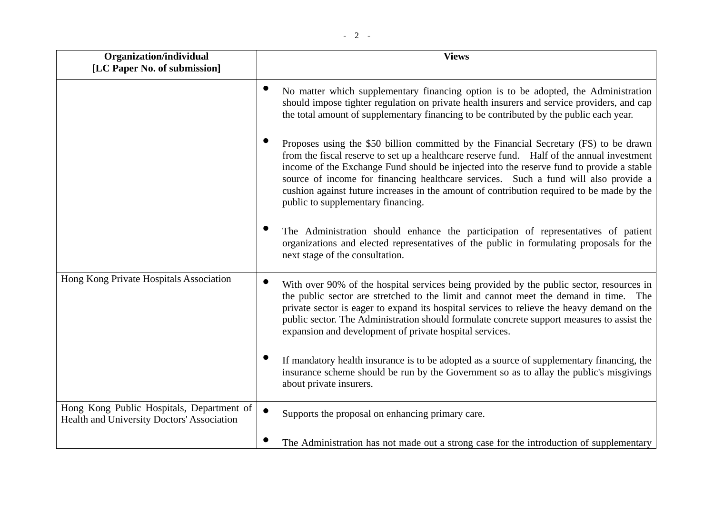| Organization/individual<br>[LC Paper No. of submission]                                 | <b>Views</b>                                                                                                                                                                                                                                                                                                                                                                                                                                                                                              |
|-----------------------------------------------------------------------------------------|-----------------------------------------------------------------------------------------------------------------------------------------------------------------------------------------------------------------------------------------------------------------------------------------------------------------------------------------------------------------------------------------------------------------------------------------------------------------------------------------------------------|
|                                                                                         | No matter which supplementary financing option is to be adopted, the Administration<br>should impose tighter regulation on private health insurers and service providers, and cap<br>the total amount of supplementary financing to be contributed by the public each year.                                                                                                                                                                                                                               |
|                                                                                         | Proposes using the \$50 billion committed by the Financial Secretary (FS) to be drawn<br>from the fiscal reserve to set up a healthcare reserve fund. Half of the annual investment<br>income of the Exchange Fund should be injected into the reserve fund to provide a stable<br>source of income for financing healthcare services. Such a fund will also provide a<br>cushion against future increases in the amount of contribution required to be made by the<br>public to supplementary financing. |
|                                                                                         | The Administration should enhance the participation of representatives of patient<br>organizations and elected representatives of the public in formulating proposals for the<br>next stage of the consultation.                                                                                                                                                                                                                                                                                          |
| Hong Kong Private Hospitals Association                                                 | With over 90% of the hospital services being provided by the public sector, resources in<br>the public sector are stretched to the limit and cannot meet the demand in time. The<br>private sector is eager to expand its hospital services to relieve the heavy demand on the<br>public sector. The Administration should formulate concrete support measures to assist the<br>expansion and development of private hospital services.                                                                   |
|                                                                                         | If mandatory health insurance is to be adopted as a source of supplementary financing, the<br>insurance scheme should be run by the Government so as to allay the public's misgivings<br>about private insurers.                                                                                                                                                                                                                                                                                          |
| Hong Kong Public Hospitals, Department of<br>Health and University Doctors' Association | $\bullet$<br>Supports the proposal on enhancing primary care.                                                                                                                                                                                                                                                                                                                                                                                                                                             |
|                                                                                         | The Administration has not made out a strong case for the introduction of supplementary                                                                                                                                                                                                                                                                                                                                                                                                                   |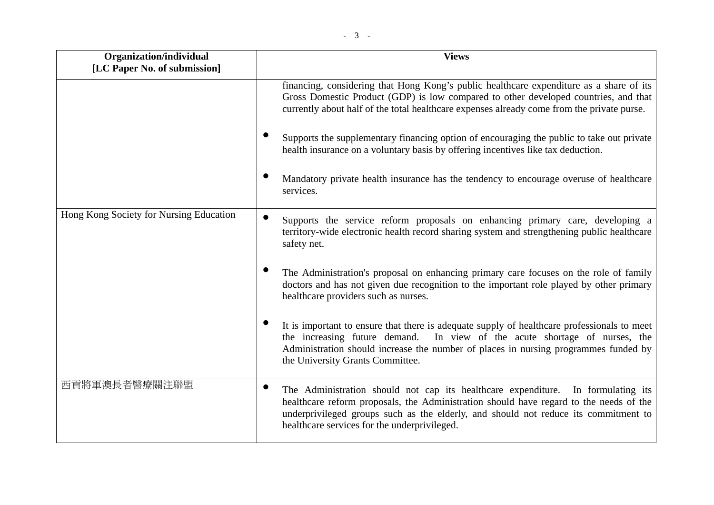| Organization/individual<br>[LC Paper No. of submission] | <b>Views</b>                                                                                                                                                                                                                                                                                            |
|---------------------------------------------------------|---------------------------------------------------------------------------------------------------------------------------------------------------------------------------------------------------------------------------------------------------------------------------------------------------------|
|                                                         | financing, considering that Hong Kong's public healthcare expenditure as a share of its<br>Gross Domestic Product (GDP) is low compared to other developed countries, and that<br>currently about half of the total healthcare expenses already come from the private purse.                            |
|                                                         | Supports the supplementary financing option of encouraging the public to take out private<br>health insurance on a voluntary basis by offering incentives like tax deduction.                                                                                                                           |
|                                                         | Mandatory private health insurance has the tendency to encourage overuse of healthcare<br>services.                                                                                                                                                                                                     |
| Hong Kong Society for Nursing Education                 | Supports the service reform proposals on enhancing primary care, developing a<br>territory-wide electronic health record sharing system and strengthening public healthcare<br>safety net.                                                                                                              |
|                                                         | The Administration's proposal on enhancing primary care focuses on the role of family<br>doctors and has not given due recognition to the important role played by other primary<br>healthcare providers such as nurses.                                                                                |
|                                                         | It is important to ensure that there is adequate supply of healthcare professionals to meet<br>In view of the acute shortage of nurses, the<br>the increasing future demand.<br>Administration should increase the number of places in nursing programmes funded by<br>the University Grants Committee. |
| 西貢將軍澳長者醫療關注聯盟                                           | The Administration should not cap its healthcare expenditure.<br>In formulating its<br>healthcare reform proposals, the Administration should have regard to the needs of the                                                                                                                           |

healthcare services for the underprivileged.

underprivileged groups such as the elderly, and should not reduce its commitment to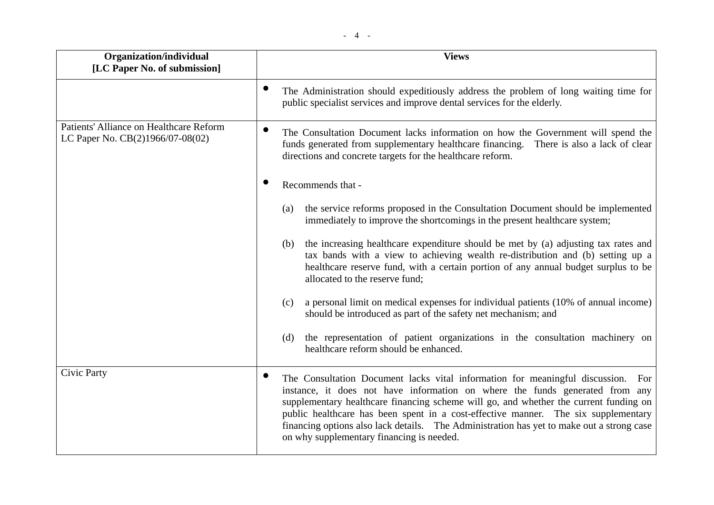| Organization/individual<br>[LC Paper No. of submission]                     | <b>Views</b>                                                                                                                                                                                                                                                                                                                                                                                                                                                                              |
|-----------------------------------------------------------------------------|-------------------------------------------------------------------------------------------------------------------------------------------------------------------------------------------------------------------------------------------------------------------------------------------------------------------------------------------------------------------------------------------------------------------------------------------------------------------------------------------|
|                                                                             | The Administration should expeditiously address the problem of long waiting time for<br>public specialist services and improve dental services for the elderly.                                                                                                                                                                                                                                                                                                                           |
| Patients' Alliance on Healthcare Reform<br>LC Paper No. CB(2)1966/07-08(02) | $\bullet$<br>The Consultation Document lacks information on how the Government will spend the<br>funds generated from supplementary healthcare financing. There is also a lack of clear<br>directions and concrete targets for the healthcare reform.                                                                                                                                                                                                                                     |
|                                                                             | Recommends that -                                                                                                                                                                                                                                                                                                                                                                                                                                                                         |
|                                                                             | the service reforms proposed in the Consultation Document should be implemented<br>(a)<br>immediately to improve the shortcomings in the present healthcare system;                                                                                                                                                                                                                                                                                                                       |
|                                                                             | the increasing healthcare expenditure should be met by (a) adjusting tax rates and<br>(b)<br>tax bands with a view to achieving wealth re-distribution and (b) setting up a<br>healthcare reserve fund, with a certain portion of any annual budget surplus to be<br>allocated to the reserve fund;                                                                                                                                                                                       |
|                                                                             | a personal limit on medical expenses for individual patients (10% of annual income)<br>(c)<br>should be introduced as part of the safety net mechanism; and                                                                                                                                                                                                                                                                                                                               |
|                                                                             | the representation of patient organizations in the consultation machinery on<br>(d)<br>healthcare reform should be enhanced.                                                                                                                                                                                                                                                                                                                                                              |
| Civic Party                                                                 | The Consultation Document lacks vital information for meaningful discussion. For<br>instance, it does not have information on where the funds generated from any<br>supplementary healthcare financing scheme will go, and whether the current funding on<br>public healthcare has been spent in a cost-effective manner. The six supplementary<br>financing options also lack details. The Administration has yet to make out a strong case<br>on why supplementary financing is needed. |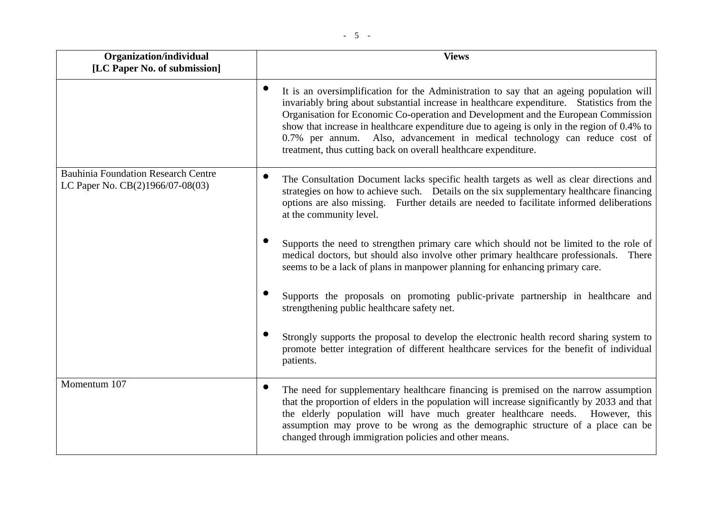| Organization/individual<br>[LC Paper No. of submission]                        | <b>Views</b>                                                                                                                                                                                                                                                                                                                                                                                                                                                                                                                 |
|--------------------------------------------------------------------------------|------------------------------------------------------------------------------------------------------------------------------------------------------------------------------------------------------------------------------------------------------------------------------------------------------------------------------------------------------------------------------------------------------------------------------------------------------------------------------------------------------------------------------|
|                                                                                |                                                                                                                                                                                                                                                                                                                                                                                                                                                                                                                              |
|                                                                                | It is an oversimplification for the Administration to say that an ageing population will<br>invariably bring about substantial increase in healthcare expenditure. Statistics from the<br>Organisation for Economic Co-operation and Development and the European Commission<br>show that increase in healthcare expenditure due to ageing is only in the region of 0.4% to<br>0.7% per annum. Also, advancement in medical technology can reduce cost of<br>treatment, thus cutting back on overall healthcare expenditure. |
| <b>Bauhinia Foundation Research Centre</b><br>LC Paper No. CB(2)1966/07-08(03) | The Consultation Document lacks specific health targets as well as clear directions and<br>strategies on how to achieve such. Details on the six supplementary healthcare financing<br>options are also missing. Further details are needed to facilitate informed deliberations<br>at the community level.                                                                                                                                                                                                                  |
|                                                                                | Supports the need to strengthen primary care which should not be limited to the role of<br>medical doctors, but should also involve other primary healthcare professionals.<br>There<br>seems to be a lack of plans in manpower planning for enhancing primary care.                                                                                                                                                                                                                                                         |
|                                                                                | Supports the proposals on promoting public-private partnership in healthcare and<br>strengthening public healthcare safety net.                                                                                                                                                                                                                                                                                                                                                                                              |
|                                                                                | Strongly supports the proposal to develop the electronic health record sharing system to<br>promote better integration of different healthcare services for the benefit of individual<br>patients.                                                                                                                                                                                                                                                                                                                           |
| Momentum 107                                                                   | The need for supplementary healthcare financing is premised on the narrow assumption<br>that the proportion of elders in the population will increase significantly by 2033 and that<br>the elderly population will have much greater healthcare needs. However, this<br>assumption may prove to be wrong as the demographic structure of a place can be<br>changed through immigration policies and other means.                                                                                                            |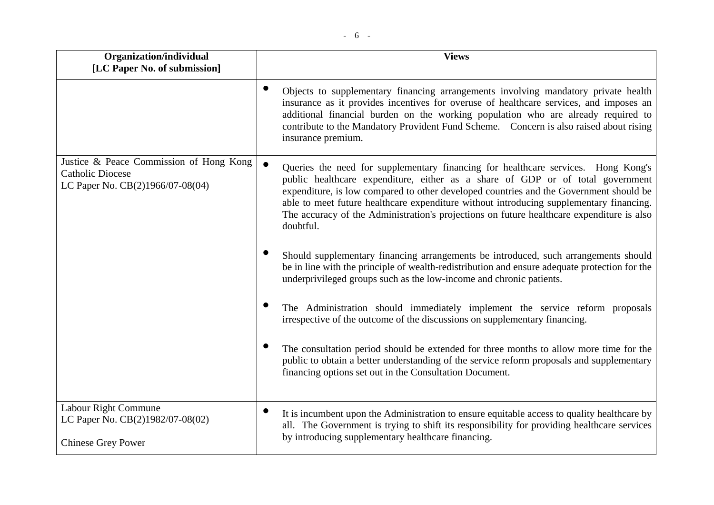| Organization/individual                                                                                | <b>Views</b>                                                                                                                                                                                                                                                                                                                                                                                                                                                       |
|--------------------------------------------------------------------------------------------------------|--------------------------------------------------------------------------------------------------------------------------------------------------------------------------------------------------------------------------------------------------------------------------------------------------------------------------------------------------------------------------------------------------------------------------------------------------------------------|
| [LC Paper No. of submission]                                                                           |                                                                                                                                                                                                                                                                                                                                                                                                                                                                    |
|                                                                                                        | Objects to supplementary financing arrangements involving mandatory private health<br>insurance as it provides incentives for overuse of healthcare services, and imposes an<br>additional financial burden on the working population who are already required to<br>contribute to the Mandatory Provident Fund Scheme. Concern is also raised about rising<br>insurance premium.                                                                                  |
| Justice & Peace Commission of Hong Kong<br><b>Catholic Diocese</b><br>LC Paper No. CB(2)1966/07-08(04) | Queries the need for supplementary financing for healthcare services. Hong Kong's<br>public healthcare expenditure, either as a share of GDP or of total government<br>expenditure, is low compared to other developed countries and the Government should be<br>able to meet future healthcare expenditure without introducing supplementary financing.<br>The accuracy of the Administration's projections on future healthcare expenditure is also<br>doubtful. |
|                                                                                                        | Should supplementary financing arrangements be introduced, such arrangements should<br>be in line with the principle of wealth-redistribution and ensure adequate protection for the<br>underprivileged groups such as the low-income and chronic patients.                                                                                                                                                                                                        |
|                                                                                                        | The Administration should immediately implement the service reform proposals<br>irrespective of the outcome of the discussions on supplementary financing.                                                                                                                                                                                                                                                                                                         |
|                                                                                                        | The consultation period should be extended for three months to allow more time for the<br>public to obtain a better understanding of the service reform proposals and supplementary<br>financing options set out in the Consultation Document.                                                                                                                                                                                                                     |
| Labour Right Commune<br>LC Paper No. CB(2)1982/07-08(02)<br><b>Chinese Grey Power</b>                  | It is incumbent upon the Administration to ensure equitable access to quality healthcare by<br>all. The Government is trying to shift its responsibility for providing healthcare services<br>by introducing supplementary healthcare financing.                                                                                                                                                                                                                   |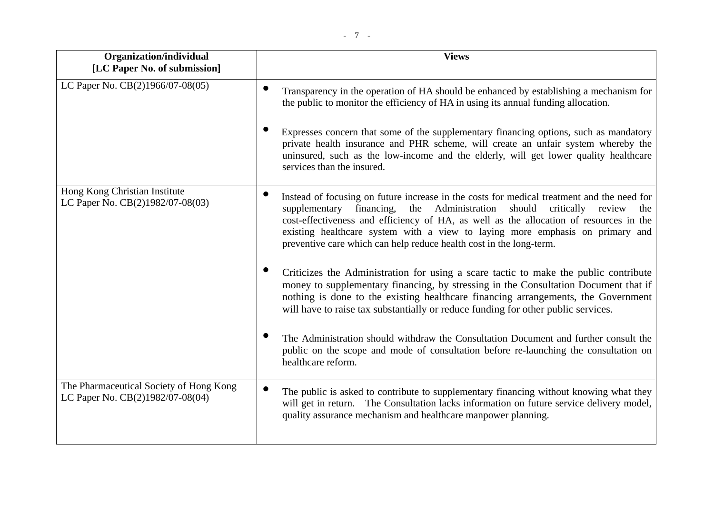| Organization/individual<br>[LC Paper No. of submission]                     | <b>Views</b>                                                                                                                                                                                                                                                                                                                                                                                                                                  |
|-----------------------------------------------------------------------------|-----------------------------------------------------------------------------------------------------------------------------------------------------------------------------------------------------------------------------------------------------------------------------------------------------------------------------------------------------------------------------------------------------------------------------------------------|
| LC Paper No. CB(2)1966/07-08(05)                                            | Transparency in the operation of HA should be enhanced by establishing a mechanism for<br>the public to monitor the efficiency of HA in using its annual funding allocation.                                                                                                                                                                                                                                                                  |
|                                                                             | Expresses concern that some of the supplementary financing options, such as mandatory<br>private health insurance and PHR scheme, will create an unfair system whereby the<br>uninsured, such as the low-income and the elderly, will get lower quality healthcare<br>services than the insured.                                                                                                                                              |
| Hong Kong Christian Institute<br>LC Paper No. CB(2)1982/07-08(03)           | Instead of focusing on future increase in the costs for medical treatment and the need for<br>Administration<br>financing,<br>the<br>should<br>critically<br>supplementary<br>review<br>the<br>cost-effectiveness and efficiency of HA, as well as the allocation of resources in the<br>existing healthcare system with a view to laying more emphasis on primary and<br>preventive care which can help reduce health cost in the long-term. |
|                                                                             | Criticizes the Administration for using a scare tactic to make the public contribute<br>money to supplementary financing, by stressing in the Consultation Document that if<br>nothing is done to the existing healthcare financing arrangements, the Government<br>will have to raise tax substantially or reduce funding for other public services.                                                                                         |
|                                                                             | The Administration should withdraw the Consultation Document and further consult the<br>public on the scope and mode of consultation before re-launching the consultation on<br>healthcare reform.                                                                                                                                                                                                                                            |
| The Pharmaceutical Society of Hong Kong<br>LC Paper No. CB(2)1982/07-08(04) | The public is asked to contribute to supplementary financing without knowing what they<br>will get in return. The Consultation lacks information on future service delivery model,<br>quality assurance mechanism and healthcare manpower planning.                                                                                                                                                                                           |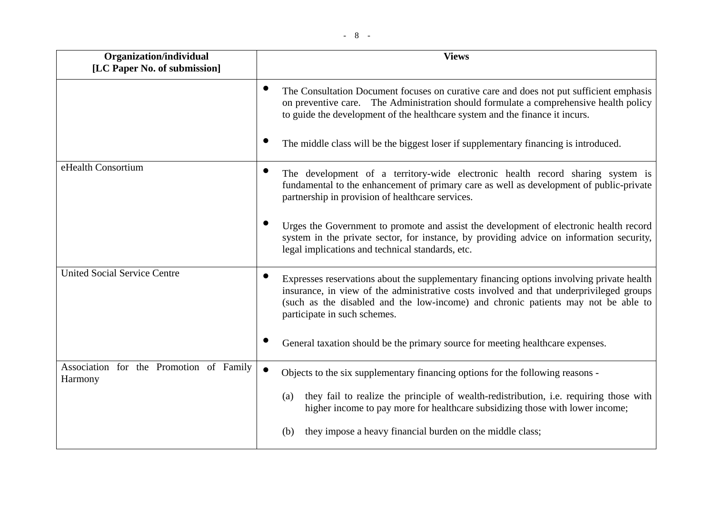| Organization/individual<br>[LC Paper No. of submission] | <b>Views</b>                                                                                                                                                                                                                                                                                              |
|---------------------------------------------------------|-----------------------------------------------------------------------------------------------------------------------------------------------------------------------------------------------------------------------------------------------------------------------------------------------------------|
|                                                         | $\bullet$<br>The Consultation Document focuses on curative care and does not put sufficient emphasis<br>on preventive care. The Administration should formulate a comprehensive health policy<br>to guide the development of the healthcare system and the finance it incurs.                             |
|                                                         | The middle class will be the biggest loser if supplementary financing is introduced.                                                                                                                                                                                                                      |
| eHealth Consortium                                      | The development of a territory-wide electronic health record sharing system is<br>fundamental to the enhancement of primary care as well as development of public-private<br>partnership in provision of healthcare services.                                                                             |
|                                                         | Urges the Government to promote and assist the development of electronic health record<br>system in the private sector, for instance, by providing advice on information security,<br>legal implications and technical standards, etc.                                                                    |
| <b>United Social Service Centre</b>                     | Expresses reservations about the supplementary financing options involving private health<br>insurance, in view of the administrative costs involved and that underprivileged groups<br>(such as the disabled and the low-income) and chronic patients may not be able to<br>participate in such schemes. |
|                                                         | General taxation should be the primary source for meeting healthcare expenses.                                                                                                                                                                                                                            |
| Association for the Promotion of Family<br>Harmony      | $\bullet$<br>Objects to the six supplementary financing options for the following reasons -                                                                                                                                                                                                               |
|                                                         | they fail to realize the principle of wealth-redistribution, i.e. requiring those with<br>(a)<br>higher income to pay more for healthcare subsidizing those with lower income;                                                                                                                            |
|                                                         | they impose a heavy financial burden on the middle class;<br>(b)                                                                                                                                                                                                                                          |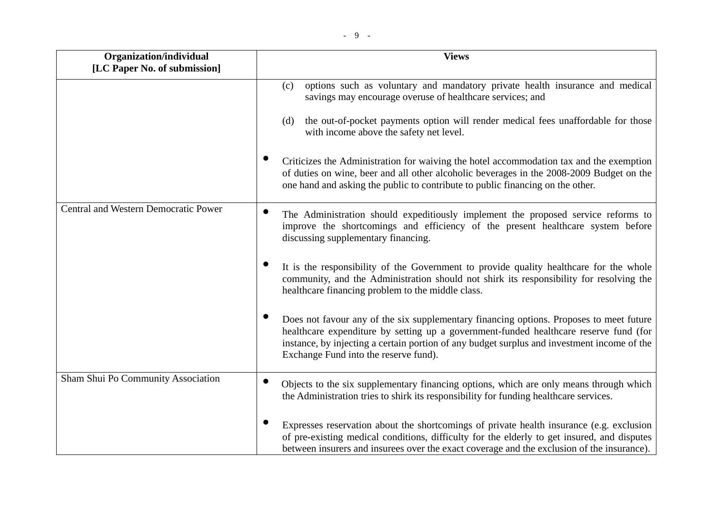| Organization/individual<br>[LC Paper No. of submission] | <b>Views</b>                                                                                                                                                                                                                                                                                                             |
|---------------------------------------------------------|--------------------------------------------------------------------------------------------------------------------------------------------------------------------------------------------------------------------------------------------------------------------------------------------------------------------------|
|                                                         | options such as voluntary and mandatory private health insurance and medical<br>(c)<br>savings may encourage overuse of healthcare services; and<br>the out-of-pocket payments option will render medical fees unaffordable for those<br>(d)<br>with income above the safety net level.                                  |
|                                                         | Criticizes the Administration for waiving the hotel accommodation tax and the exemption<br>of duties on wine, beer and all other alcoholic beverages in the 2008-2009 Budget on the<br>one hand and asking the public to contribute to public financing on the other.                                                    |
| Central and Western Democratic Power                    | The Administration should expeditiously implement the proposed service reforms to<br>improve the shortcomings and efficiency of the present healthcare system before<br>discussing supplementary financing.                                                                                                              |
|                                                         | It is the responsibility of the Government to provide quality healthcare for the whole<br>community, and the Administration should not shirk its responsibility for resolving the<br>healthcare financing problem to the middle class.                                                                                   |
|                                                         | Does not favour any of the six supplementary financing options. Proposes to meet future<br>healthcare expenditure by setting up a government-funded healthcare reserve fund (for<br>instance, by injecting a certain portion of any budget surplus and investment income of the<br>Exchange Fund into the reserve fund). |
| Sham Shui Po Community Association                      | Objects to the six supplementary financing options, which are only means through which<br>the Administration tries to shirk its responsibility for funding healthcare services.                                                                                                                                          |
|                                                         | Expresses reservation about the shortcomings of private health insurance (e.g. exclusion<br>of pre-existing medical conditions, difficulty for the elderly to get insured, and disputes<br>between insurers and insurees over the exact coverage and the exclusion of the insurance).                                    |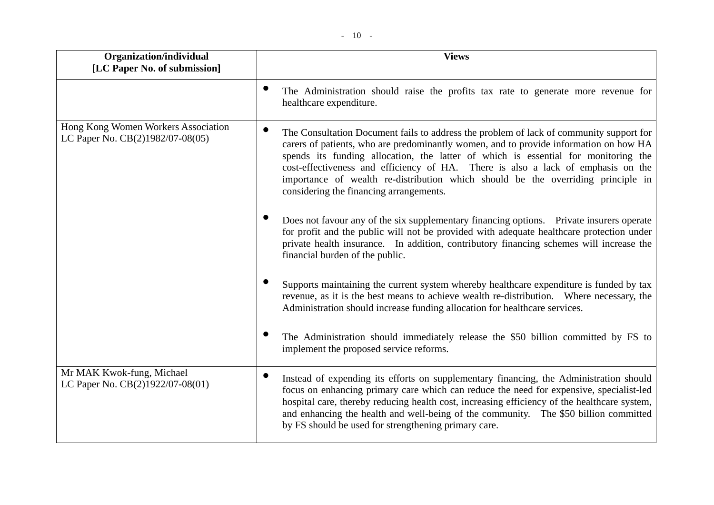| Organization/individual<br>[LC Paper No. of submission]                 | <b>Views</b>                                                                                                                                                                                                                                                                                                                                                                                                                                                                              |
|-------------------------------------------------------------------------|-------------------------------------------------------------------------------------------------------------------------------------------------------------------------------------------------------------------------------------------------------------------------------------------------------------------------------------------------------------------------------------------------------------------------------------------------------------------------------------------|
|                                                                         | The Administration should raise the profits tax rate to generate more revenue for<br>healthcare expenditure.                                                                                                                                                                                                                                                                                                                                                                              |
| Hong Kong Women Workers Association<br>LC Paper No. CB(2)1982/07-08(05) | The Consultation Document fails to address the problem of lack of community support for<br>carers of patients, who are predominantly women, and to provide information on how HA<br>spends its funding allocation, the latter of which is essential for monitoring the<br>cost-effectiveness and efficiency of HA. There is also a lack of emphasis on the<br>importance of wealth re-distribution which should be the overriding principle in<br>considering the financing arrangements. |
|                                                                         | Does not favour any of the six supplementary financing options. Private insurers operate<br>for profit and the public will not be provided with adequate healthcare protection under<br>private health insurance. In addition, contributory financing schemes will increase the<br>financial burden of the public.                                                                                                                                                                        |
|                                                                         | Supports maintaining the current system whereby healthcare expenditure is funded by tax<br>revenue, as it is the best means to achieve wealth re-distribution. Where necessary, the<br>Administration should increase funding allocation for healthcare services.                                                                                                                                                                                                                         |
|                                                                         | The Administration should immediately release the \$50 billion committed by FS to<br>implement the proposed service reforms.                                                                                                                                                                                                                                                                                                                                                              |
| Mr MAK Kwok-fung, Michael<br>LC Paper No. CB(2)1922/07-08(01)           | ●<br>Instead of expending its efforts on supplementary financing, the Administration should<br>focus on enhancing primary care which can reduce the need for expensive, specialist-led<br>hospital care, thereby reducing health cost, increasing efficiency of the healthcare system,<br>and enhancing the health and well-being of the community. The \$50 billion committed<br>by FS should be used for strengthening primary care.                                                    |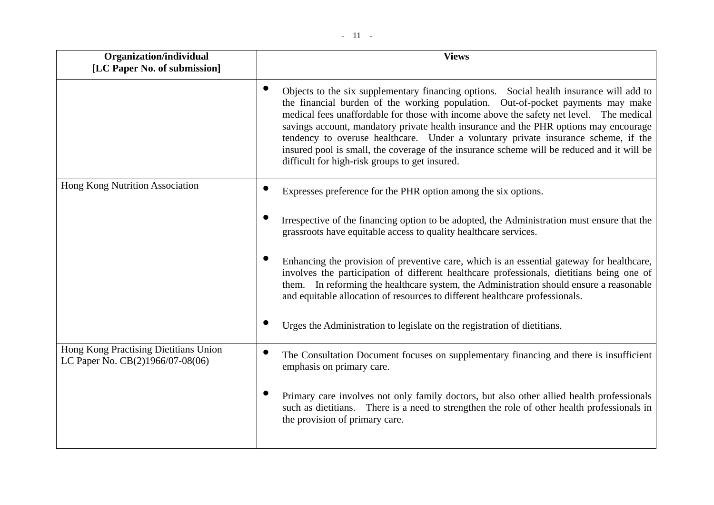| Organization/individual<br>[LC Paper No. of submission]                   | <b>Views</b>                                                                                                                                                                                                                                                                                                                                                                                                                                                                                                                                                                                         |
|---------------------------------------------------------------------------|------------------------------------------------------------------------------------------------------------------------------------------------------------------------------------------------------------------------------------------------------------------------------------------------------------------------------------------------------------------------------------------------------------------------------------------------------------------------------------------------------------------------------------------------------------------------------------------------------|
|                                                                           | Objects to the six supplementary financing options. Social health insurance will add to<br>the financial burden of the working population. Out-of-pocket payments may make<br>medical fees unaffordable for those with income above the safety net level. The medical<br>savings account, mandatory private health insurance and the PHR options may encourage<br>tendency to overuse healthcare. Under a voluntary private insurance scheme, if the<br>insured pool is small, the coverage of the insurance scheme will be reduced and it will be<br>difficult for high-risk groups to get insured. |
| Hong Kong Nutrition Association                                           | Expresses preference for the PHR option among the six options.                                                                                                                                                                                                                                                                                                                                                                                                                                                                                                                                       |
|                                                                           | Irrespective of the financing option to be adopted, the Administration must ensure that the<br>grassroots have equitable access to quality healthcare services.                                                                                                                                                                                                                                                                                                                                                                                                                                      |
|                                                                           | Enhancing the provision of preventive care, which is an essential gateway for healthcare,<br>involves the participation of different healthcare professionals, dietitians being one of<br>them. In reforming the healthcare system, the Administration should ensure a reasonable<br>and equitable allocation of resources to different healthcare professionals.                                                                                                                                                                                                                                    |
|                                                                           | Urges the Administration to legislate on the registration of dietitians.                                                                                                                                                                                                                                                                                                                                                                                                                                                                                                                             |
| Hong Kong Practising Dietitians Union<br>LC Paper No. CB(2)1966/07-08(06) | The Consultation Document focuses on supplementary financing and there is insufficient<br>emphasis on primary care.                                                                                                                                                                                                                                                                                                                                                                                                                                                                                  |
|                                                                           | Primary care involves not only family doctors, but also other allied health professionals<br>such as dietitians. There is a need to strengthen the role of other health professionals in<br>the provision of primary care.                                                                                                                                                                                                                                                                                                                                                                           |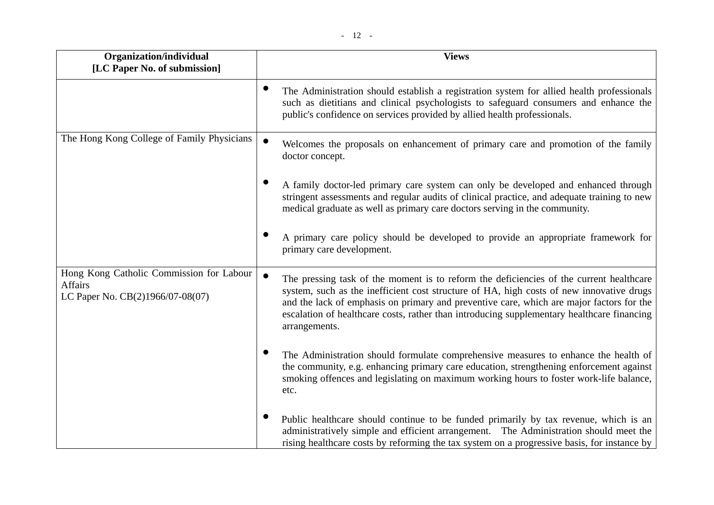| Organization/individual                                                                        | <b>Views</b>                                                                                                                                                                                                                                                                                                                                                                                                |
|------------------------------------------------------------------------------------------------|-------------------------------------------------------------------------------------------------------------------------------------------------------------------------------------------------------------------------------------------------------------------------------------------------------------------------------------------------------------------------------------------------------------|
| [LC Paper No. of submission]                                                                   |                                                                                                                                                                                                                                                                                                                                                                                                             |
|                                                                                                | The Administration should establish a registration system for allied health professionals<br>such as dietitians and clinical psychologists to safeguard consumers and enhance the<br>public's confidence on services provided by allied health professionals.                                                                                                                                               |
| The Hong Kong College of Family Physicians                                                     | $\bullet$<br>Welcomes the proposals on enhancement of primary care and promotion of the family<br>doctor concept.                                                                                                                                                                                                                                                                                           |
|                                                                                                | A family doctor-led primary care system can only be developed and enhanced through<br>stringent assessments and regular audits of clinical practice, and adequate training to new<br>medical graduate as well as primary care doctors serving in the community.                                                                                                                                             |
|                                                                                                | A primary care policy should be developed to provide an appropriate framework for<br>primary care development.                                                                                                                                                                                                                                                                                              |
| Hong Kong Catholic Commission for Labour<br><b>Affairs</b><br>LC Paper No. CB(2)1966/07-08(07) | $\bullet$<br>The pressing task of the moment is to reform the deficiencies of the current healthcare<br>system, such as the inefficient cost structure of HA, high costs of new innovative drugs<br>and the lack of emphasis on primary and preventive care, which are major factors for the<br>escalation of healthcare costs, rather than introducing supplementary healthcare financing<br>arrangements. |
|                                                                                                | The Administration should formulate comprehensive measures to enhance the health of<br>the community, e.g. enhancing primary care education, strengthening enforcement against<br>smoking offences and legislating on maximum working hours to foster work-life balance,<br>etc.                                                                                                                            |
|                                                                                                | Public healthcare should continue to be funded primarily by tax revenue, which is an<br>administratively simple and efficient arrangement. The Administration should meet the<br>rising healthcare costs by reforming the tax system on a progressive basis, for instance by                                                                                                                                |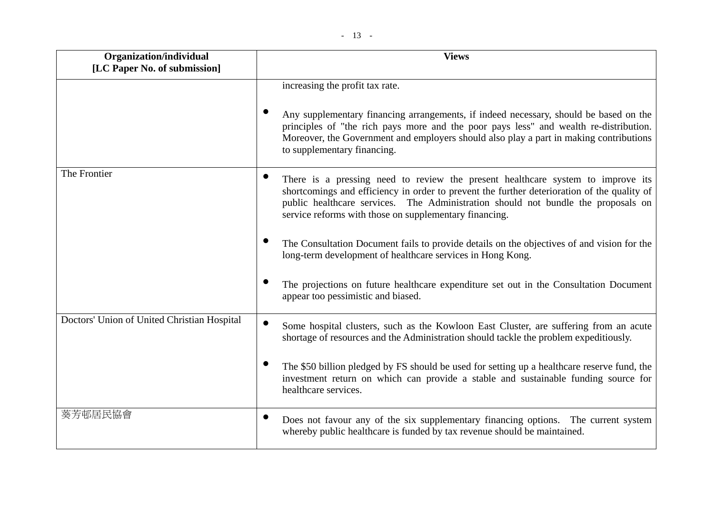| Organization/individual<br>[LC Paper No. of submission] | <b>Views</b>                                                                                                                                                                                                                                                                                                                               |  |
|---------------------------------------------------------|--------------------------------------------------------------------------------------------------------------------------------------------------------------------------------------------------------------------------------------------------------------------------------------------------------------------------------------------|--|
|                                                         | increasing the profit tax rate.<br>Any supplementary financing arrangements, if indeed necessary, should be based on the<br>principles of "the rich pays more and the poor pays less" and wealth re-distribution.<br>Moreover, the Government and employers should also play a part in making contributions<br>to supplementary financing. |  |
| The Frontier                                            | There is a pressing need to review the present healthcare system to improve its<br>shortcomings and efficiency in order to prevent the further deterioration of the quality of<br>public healthcare services. The Administration should not bundle the proposals on<br>service reforms with those on supplementary financing.              |  |
|                                                         | The Consultation Document fails to provide details on the objectives of and vision for the<br>long-term development of healthcare services in Hong Kong.                                                                                                                                                                                   |  |
|                                                         | The projections on future healthcare expenditure set out in the Consultation Document<br>appear too pessimistic and biased.                                                                                                                                                                                                                |  |
| Doctors' Union of United Christian Hospital             | Some hospital clusters, such as the Kowloon East Cluster, are suffering from an acute<br>shortage of resources and the Administration should tackle the problem expeditiously.                                                                                                                                                             |  |
|                                                         | The \$50 billion pledged by FS should be used for setting up a healthcare reserve fund, the<br>investment return on which can provide a stable and sustainable funding source for<br>healthcare services.                                                                                                                                  |  |
| 葵芳邨居民協會                                                 | Does not favour any of the six supplementary financing options. The current system<br>whereby public healthcare is funded by tax revenue should be maintained.                                                                                                                                                                             |  |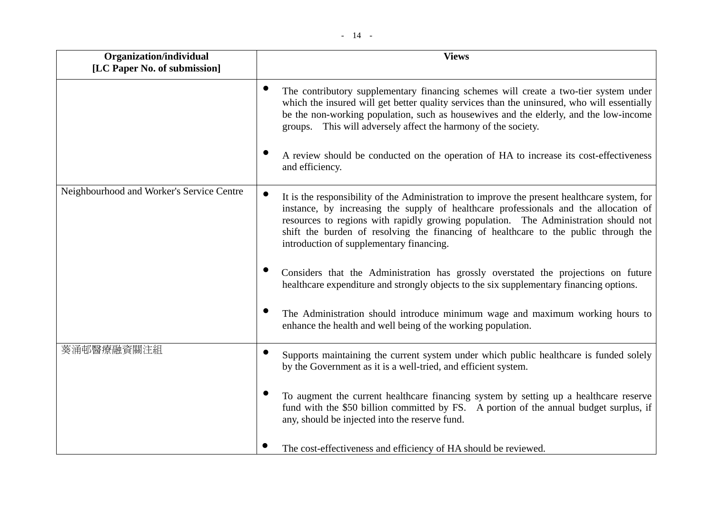| Organization/individual<br>[LC Paper No. of submission] | <b>Views</b>                                                                                                                                                                                                                                                                                                                                                                                                                |
|---------------------------------------------------------|-----------------------------------------------------------------------------------------------------------------------------------------------------------------------------------------------------------------------------------------------------------------------------------------------------------------------------------------------------------------------------------------------------------------------------|
|                                                         | The contributory supplementary financing schemes will create a two-tier system under<br>which the insured will get better quality services than the uninsured, who will essentially<br>be the non-working population, such as housewives and the elderly, and the low-income<br>groups. This will adversely affect the harmony of the society.                                                                              |
|                                                         | A review should be conducted on the operation of HA to increase its cost-effectiveness<br>and efficiency.                                                                                                                                                                                                                                                                                                                   |
| Neighbourhood and Worker's Service Centre               | $\bullet$<br>It is the responsibility of the Administration to improve the present healthcare system, for<br>instance, by increasing the supply of healthcare professionals and the allocation of<br>resources to regions with rapidly growing population. The Administration should not<br>shift the burden of resolving the financing of healthcare to the public through the<br>introduction of supplementary financing. |
|                                                         | Considers that the Administration has grossly overstated the projections on future<br>healthcare expenditure and strongly objects to the six supplementary financing options.                                                                                                                                                                                                                                               |
|                                                         | The Administration should introduce minimum wage and maximum working hours to<br>enhance the health and well being of the working population.                                                                                                                                                                                                                                                                               |
| 葵涌邨醫療融資關注組                                              | Supports maintaining the current system under which public healthcare is funded solely<br>by the Government as it is a well-tried, and efficient system.                                                                                                                                                                                                                                                                    |
|                                                         | To augment the current healthcare financing system by setting up a healthcare reserve<br>fund with the \$50 billion committed by FS. A portion of the annual budget surplus, if<br>any, should be injected into the reserve fund.                                                                                                                                                                                           |

• The cost-effectiveness and efficiency of HA should be reviewed.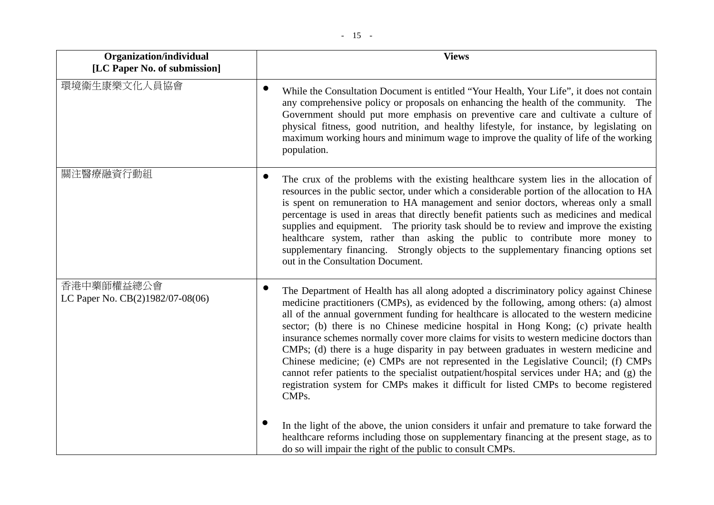| Organization/individual                        | <b>Views</b>                                                                                                                                                                                                                                                                                                                                                                                                                                                                                                                                                                                                                                                                                                                                                                                                                                 |
|------------------------------------------------|----------------------------------------------------------------------------------------------------------------------------------------------------------------------------------------------------------------------------------------------------------------------------------------------------------------------------------------------------------------------------------------------------------------------------------------------------------------------------------------------------------------------------------------------------------------------------------------------------------------------------------------------------------------------------------------------------------------------------------------------------------------------------------------------------------------------------------------------|
| [LC Paper No. of submission]                   |                                                                                                                                                                                                                                                                                                                                                                                                                                                                                                                                                                                                                                                                                                                                                                                                                                              |
| 環境衞生康樂文化人員協會                                   | While the Consultation Document is entitled "Your Health, Your Life", it does not contain<br>any comprehensive policy or proposals on enhancing the health of the community. The<br>Government should put more emphasis on preventive care and cultivate a culture of<br>physical fitness, good nutrition, and healthy lifestyle, for instance, by legislating on<br>maximum working hours and minimum wage to improve the quality of life of the working<br>population.                                                                                                                                                                                                                                                                                                                                                                     |
| 關注醫療融資行動組                                      | The crux of the problems with the existing healthcare system lies in the allocation of<br>resources in the public sector, under which a considerable portion of the allocation to HA<br>is spent on remuneration to HA management and senior doctors, whereas only a small<br>percentage is used in areas that directly benefit patients such as medicines and medical<br>supplies and equipment. The priority task should be to review and improve the existing<br>healthcare system, rather than asking the public to contribute more money to<br>supplementary financing. Strongly objects to the supplementary financing options set<br>out in the Consultation Document.                                                                                                                                                                |
| 香港中藥師權益總公會<br>LC Paper No. CB(2)1982/07-08(06) | The Department of Health has all along adopted a discriminatory policy against Chinese<br>medicine practitioners (CMPs), as evidenced by the following, among others: (a) almost<br>all of the annual government funding for healthcare is allocated to the western medicine<br>sector; (b) there is no Chinese medicine hospital in Hong Kong; (c) private health<br>insurance schemes normally cover more claims for visits to western medicine doctors than<br>CMPs; (d) there is a huge disparity in pay between graduates in western medicine and<br>Chinese medicine; (e) CMPs are not represented in the Legislative Council; (f) CMPs<br>cannot refer patients to the specialist outpatient/hospital services under HA; and (g) the<br>registration system for CMPs makes it difficult for listed CMPs to become registered<br>CMPs. |
|                                                | In the light of the above, the union considers it unfair and premature to take forward the<br>healthcare reforms including those on supplementary financing at the present stage, as to<br>do so will impair the right of the public to consult CMPs.                                                                                                                                                                                                                                                                                                                                                                                                                                                                                                                                                                                        |